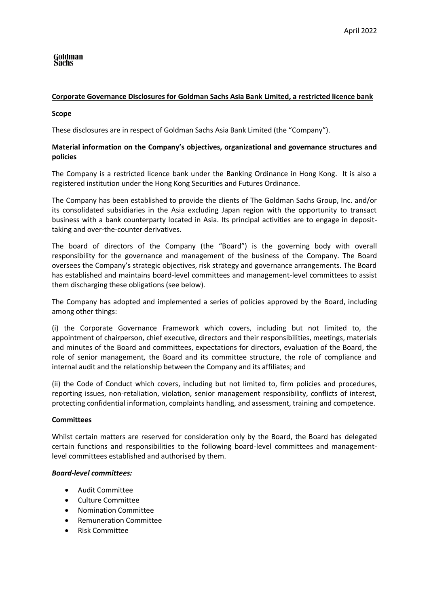# Goldman<br>Sachs

# **Corporate Governance Disclosures for Goldman Sachs Asia Bank Limited, a restricted licence bank**

## **Scope**

These disclosures are in respect of Goldman Sachs Asia Bank Limited (the "Company").

# **Material information on the Company's objectives, organizational and governance structures and policies**

The Company is a restricted licence bank under the Banking Ordinance in Hong Kong. It is also a registered institution under the Hong Kong Securities and Futures Ordinance.

The Company has been established to provide the clients of The Goldman Sachs Group, Inc. and/or its consolidated subsidiaries in the Asia excluding Japan region with the opportunity to transact business with a bank counterparty located in Asia. Its principal activities are to engage in deposittaking and over-the-counter derivatives.

The board of directors of the Company (the "Board") is the governing body with overall responsibility for the governance and management of the business of the Company. The Board oversees the Company's strategic objectives, risk strategy and governance arrangements. The Board has established and maintains board-level committees and management-level committees to assist them discharging these obligations (see below).

The Company has adopted and implemented a series of policies approved by the Board, including among other things:

(i) the Corporate Governance Framework which covers, including but not limited to, the appointment of chairperson, chief executive, directors and their responsibilities, meetings, materials and minutes of the Board and committees, expectations for directors, evaluation of the Board, the role of senior management, the Board and its committee structure, the role of compliance and internal audit and the relationship between the Company and its affiliates; and

(ii) the Code of Conduct which covers, including but not limited to, firm policies and procedures, reporting issues, non-retaliation, violation, senior management responsibility, conflicts of interest, protecting confidential information, complaints handling, and assessment, training and competence.

## **Committees**

Whilst certain matters are reserved for consideration only by the Board, the Board has delegated certain functions and responsibilities to the following board-level committees and managementlevel committees established and authorised by them.

## *Board-level committees:*

- Audit Committee
- Culture Committee
- Nomination Committee
- Remuneration Committee
- Risk Committee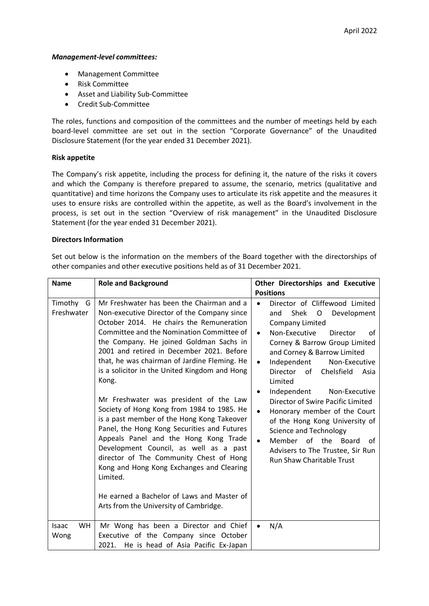#### *Management-level committees:*

- Management Committee
- Risk Committee
- Asset and Liability Sub-Committee
- Credit Sub-Committee

The roles, functions and composition of the committees and the number of meetings held by each board-level committee are set out in the section "Corporate Governance" of the Unaudited Disclosure Statement (for the year ended 31 December 2021).

## **Risk appetite**

The Company's risk appetite, including the process for defining it, the nature of the risks it covers and which the Company is therefore prepared to assume, the scenario, metrics (qualitative and quantitative) and time horizons the Company uses to articulate its risk appetite and the measures it uses to ensure risks are controlled within the appetite, as well as the Board's involvement in the process, is set out in the section "Overview of risk management" in the Unaudited Disclosure Statement (for the year ended 31 December 2021).

## **Directors Information**

Set out below is the information on the members of the Board together with the directorships of other companies and other executive positions held as of 31 December 2021.

| <b>Name</b>                | <b>Role and Background</b>                                                                                                                                                                                                                                                                                                                                                                                                                                                                                                                                                                                                                                                                                                                                                                                                                              | Other Directorships and Executive<br><b>Positions</b>                                                                                                                                                                                                                                                                                                                                                                                                                                                                                                                                                                                  |
|----------------------------|---------------------------------------------------------------------------------------------------------------------------------------------------------------------------------------------------------------------------------------------------------------------------------------------------------------------------------------------------------------------------------------------------------------------------------------------------------------------------------------------------------------------------------------------------------------------------------------------------------------------------------------------------------------------------------------------------------------------------------------------------------------------------------------------------------------------------------------------------------|----------------------------------------------------------------------------------------------------------------------------------------------------------------------------------------------------------------------------------------------------------------------------------------------------------------------------------------------------------------------------------------------------------------------------------------------------------------------------------------------------------------------------------------------------------------------------------------------------------------------------------------|
| Timothy<br>G<br>Freshwater | Mr Freshwater has been the Chairman and a<br>Non-executive Director of the Company since<br>October 2014. He chairs the Remuneration<br>Committee and the Nomination Committee of<br>the Company. He joined Goldman Sachs in<br>2001 and retired in December 2021. Before<br>that, he was chairman of Jardine Fleming. He<br>is a solicitor in the United Kingdom and Hong<br>Kong.<br>Mr Freshwater was president of the Law<br>Society of Hong Kong from 1984 to 1985. He<br>is a past member of the Hong Kong Takeover<br>Panel, the Hong Kong Securities and Futures<br>Appeals Panel and the Hong Kong Trade<br>Development Council, as well as a past<br>director of The Community Chest of Hong<br>Kong and Hong Kong Exchanges and Clearing<br>Limited.<br>He earned a Bachelor of Laws and Master of<br>Arts from the University of Cambridge. | Director of Cliffewood Limited<br>$\bullet$<br>Shek<br>$\mathsf{O}$<br>Development<br>and<br>Company Limited<br>Non-Executive<br>Director<br>οf<br>$\bullet$<br>Corney & Barrow Group Limited<br>and Corney & Barrow Limited<br>Independent<br>Non-Executive<br>$\bullet$<br>Chelsfield<br>Director of<br>Asia<br>Limited<br>Independent<br>Non-Executive<br>$\bullet$<br>Director of Swire Pacific Limited<br>Honorary member of the Court<br>$\bullet$<br>of the Hong Kong University of<br>Science and Technology<br>Member of the Board<br>$\bullet$<br>of<br>Advisers to The Trustee, Sir Run<br><b>Run Shaw Charitable Trust</b> |
| <b>WH</b><br>Isaac<br>Wong | Mr Wong has been a Director and Chief<br>Executive of the Company since October<br>2021. He is head of Asia Pacific Ex-Japan                                                                                                                                                                                                                                                                                                                                                                                                                                                                                                                                                                                                                                                                                                                            | N/A<br>$\bullet$                                                                                                                                                                                                                                                                                                                                                                                                                                                                                                                                                                                                                       |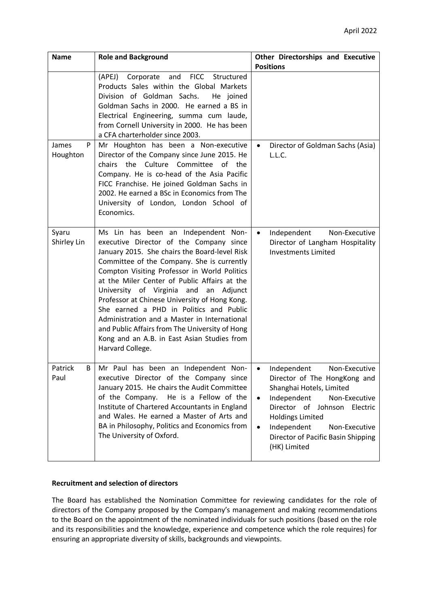| <b>Name</b>            | <b>Role and Background</b>                                                                                                                                                                                                                                                                                                                                                                                                                                                                                                                                                                    | <b>Other Directorships and Executive</b><br><b>Positions</b>                                                                                                                                                                                                                                                        |
|------------------------|-----------------------------------------------------------------------------------------------------------------------------------------------------------------------------------------------------------------------------------------------------------------------------------------------------------------------------------------------------------------------------------------------------------------------------------------------------------------------------------------------------------------------------------------------------------------------------------------------|---------------------------------------------------------------------------------------------------------------------------------------------------------------------------------------------------------------------------------------------------------------------------------------------------------------------|
|                        | and<br>FICC Structured<br>(APEJ)<br>Corporate<br>Products Sales within the Global Markets<br>Division of Goldman Sachs.<br>He joined<br>Goldman Sachs in 2000. He earned a BS in<br>Electrical Engineering, summa cum laude,<br>from Cornell University in 2000. He has been<br>a CFA charterholder since 2003.                                                                                                                                                                                                                                                                               |                                                                                                                                                                                                                                                                                                                     |
| P<br>James<br>Houghton | Mr Houghton has been a Non-executive<br>Director of the Company since June 2015. He<br>the Culture Committee<br>of the<br>chairs<br>Company. He is co-head of the Asia Pacific<br>FICC Franchise. He joined Goldman Sachs in<br>2002. He earned a BSc in Economics from The<br>University of London, London School of<br>Economics.                                                                                                                                                                                                                                                           | Director of Goldman Sachs (Asia)<br>$\bullet$<br>L.L.C.                                                                                                                                                                                                                                                             |
| Syaru<br>Shirley Lin   | Ms Lin has been an Independent Non-<br>executive Director of the Company since<br>January 2015. She chairs the Board-level Risk<br>Committee of the Company. She is currently<br>Compton Visiting Professor in World Politics<br>at the Miler Center of Public Affairs at the<br>University of Virginia and<br>Adjunct<br>an<br>Professor at Chinese University of Hong Kong.<br>She earned a PHD in Politics and Public<br>Administration and a Master in International<br>and Public Affairs from The University of Hong<br>Kong and an A.B. in East Asian Studies from<br>Harvard College. | Independent<br>Non-Executive<br>$\bullet$<br>Director of Langham Hospitality<br><b>Investments Limited</b>                                                                                                                                                                                                          |
| Patrick<br>B<br>Paul   | Mr Paul has been an Independent Non-<br>executive Director of the Company since<br>January 2015. He chairs the Audit Committee<br>of the Company.<br>He is a Fellow of the<br>Institute of Chartered Accountants in England<br>and Wales. He earned a Master of Arts and<br>BA in Philosophy, Politics and Economics from<br>The University of Oxford.                                                                                                                                                                                                                                        | Non-Executive<br>Independent<br>$\bullet$<br>Director of The HongKong and<br>Shanghai Hotels, Limited<br>Independent<br>Non-Executive<br>$\bullet$<br>Director of<br>Johnson Electric<br><b>Holdings Limited</b><br>Independent<br>Non-Executive<br>$\bullet$<br>Director of Pacific Basin Shipping<br>(HK) Limited |

## **Recruitment and selection of directors**

The Board has established the Nomination Committee for reviewing candidates for the role of directors of the Company proposed by the Company's management and making recommendations to the Board on the appointment of the nominated individuals for such positions (based on the role and its responsibilities and the knowledge, experience and competence which the role requires) for ensuring an appropriate diversity of skills, backgrounds and viewpoints.